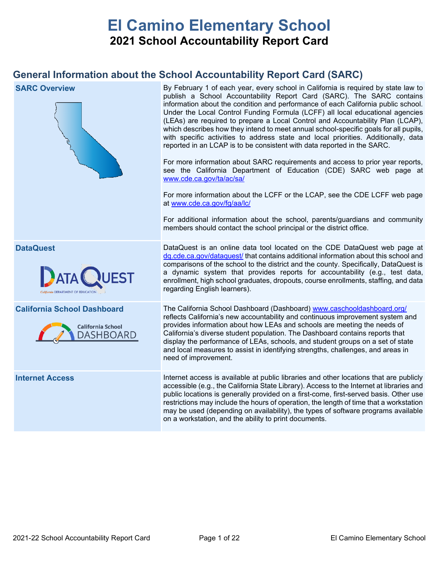# **El Camino Elementary School 2021 School Accountability Report Card**

# **General Information about the School Accountability Report Card (SARC)**

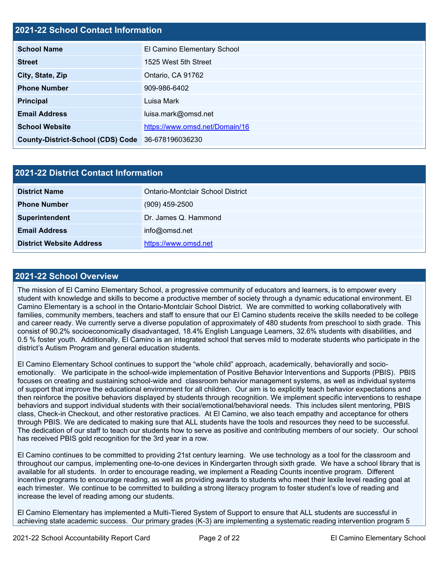# **2021-22 School Contact Information**

| <b>School Name</b>                                | El Camino Elementary School    |  |  |  |  |
|---------------------------------------------------|--------------------------------|--|--|--|--|
| <b>Street</b>                                     | 1525 West 5th Street           |  |  |  |  |
| City, State, Zip                                  | Ontario, CA 91762              |  |  |  |  |
| <b>Phone Number</b>                               | 909-986-6402                   |  |  |  |  |
| <b>Principal</b>                                  | Luisa Mark                     |  |  |  |  |
| <b>Email Address</b>                              | luisa.mark@omsd.net            |  |  |  |  |
| <b>School Website</b>                             | https://www.omsd.net/Domain/16 |  |  |  |  |
| County-District-School (CDS) Code 36-678196036230 |                                |  |  |  |  |

| <b>2021-22 District Contact Information</b> |                                   |  |  |  |
|---------------------------------------------|-----------------------------------|--|--|--|
| <b>District Name</b>                        | Ontario-Montclair School District |  |  |  |
| <b>Phone Number</b>                         | $(909)$ 459-2500                  |  |  |  |
| Superintendent                              | Dr. James Q. Hammond              |  |  |  |
| <b>Email Address</b>                        | info@omsd.net                     |  |  |  |
| <b>District Website Address</b>             | https://www.omsd.net              |  |  |  |

### **2021-22 School Overview**

The mission of El Camino Elementary School, a progressive community of educators and learners, is to empower every student with knowledge and skills to become a productive member of society through a dynamic educational environment. El Camino Elementary is a school in the Ontario-Montclair School District. We are committed to working collaboratively with families, community members, teachers and staff to ensure that our El Camino students receive the skills needed to be college and career ready. We currently serve a diverse population of approximately of 480 students from preschool to sixth grade. This consist of 90.2% socioeconomically disadvantaged, 18.4% English Language Learners, 32.6% students with disabilities, and 0.5 % foster youth. Additionally, El Camino is an integrated school that serves mild to moderate students who participate in the district's Autism Program and general education students.

El Camino Elementary School continues to support the "whole child" approach, academically, behaviorally and socioemotionally. We participate in the school-wide implementation of Positive Behavior Interventions and Supports (PBIS). PBIS focuses on creating and sustaining school-wide and classroom behavior management systems, as well as individual systems of support that improve the educational environment for all children. Our aim is to explicitly teach behavior expectations and then reinforce the positive behaviors displayed by students through recognition. We implement specific interventions to reshape behaviors and support individual students with their social/emotional/behavioral needs. This includes silent mentoring, PBIS class, Check-in Checkout, and other restorative practices. At El Camino, we also teach empathy and acceptance for others through PBIS. We are dedicated to making sure that ALL students have the tools and resources they need to be successful. The dedication of our staff to teach our students how to serve as positive and contributing members of our society. Our school has received PBIS gold recognition for the 3rd year in a row.

El Camino continues to be committed to providing 21st century learning. We use technology as a tool for the classroom and throughout our campus, implementing one-to-one devices in Kindergarten through sixth grade. We have a school library that is available for all students. In order to encourage reading, we implement a Reading Counts incentive program. Different incentive programs to encourage reading, as well as providing awards to students who meet their lexile level reading goal at each trimester. We continue to be committed to building a strong literacy program to foster student's love of reading and increase the level of reading among our students.

El Camino Elementary has implemented a Multi-Tiered System of Support to ensure that ALL students are successful in achieving state academic success. Our primary grades (K-3) are implementing a systematic reading intervention program 5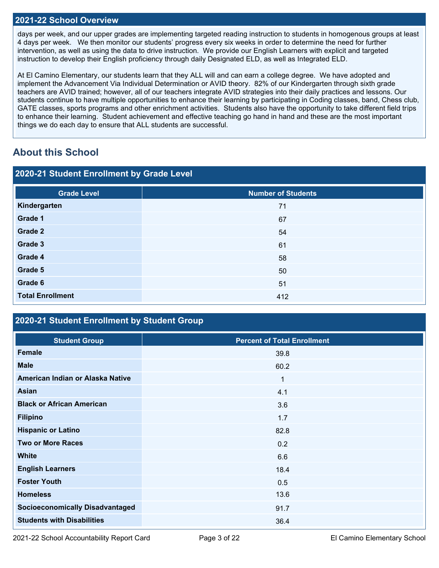### **2021-22 School Overview**

days per week, and our upper grades are implementing targeted reading instruction to students in homogenous groups at least 4 days per week. We then monitor our students' progress every six weeks in order to determine the need for further intervention, as well as using the data to drive instruction. We provide our English Learners with explicit and targeted instruction to develop their English proficiency through daily Designated ELD, as well as Integrated ELD.

At El Camino Elementary, our students learn that they ALL will and can earn a college degree. We have adopted and implement the Advancement Via Individual Determination or AVID theory. 82% of our Kindergarten through sixth grade teachers are AVID trained; however, all of our teachers integrate AVID strategies into their daily practices and lessons. Our students continue to have multiple opportunities to enhance their learning by participating in Coding classes, band, Chess club, GATE classes, sports programs and other enrichment activities. Students also have the opportunity to take different field trips to enhance their learning. Student achievement and effective teaching go hand in hand and these are the most important things we do each day to ensure that ALL students are successful.

# **About this School**

| 2020-21 Student Enrollment by Grade Level |                           |  |  |  |
|-------------------------------------------|---------------------------|--|--|--|
| <b>Grade Level</b>                        | <b>Number of Students</b> |  |  |  |
| Kindergarten                              | 71                        |  |  |  |
| Grade 1                                   | 67                        |  |  |  |
| Grade 2                                   | 54                        |  |  |  |
| Grade 3                                   | 61                        |  |  |  |
| Grade 4                                   | 58                        |  |  |  |
| Grade 5                                   | 50                        |  |  |  |
| Grade 6                                   | 51                        |  |  |  |
| <b>Total Enrollment</b>                   | 412                       |  |  |  |

# **2020-21 Student Enrollment by Student Group**

| <b>Student Group</b>                   | <b>Percent of Total Enrollment</b> |
|----------------------------------------|------------------------------------|
| Female                                 | 39.8                               |
| <b>Male</b>                            | 60.2                               |
| American Indian or Alaska Native       | 1                                  |
| <b>Asian</b>                           | 4.1                                |
| <b>Black or African American</b>       | 3.6                                |
| <b>Filipino</b>                        | 1.7                                |
| <b>Hispanic or Latino</b>              | 82.8                               |
| <b>Two or More Races</b>               | 0.2                                |
| <b>White</b>                           | 6.6                                |
| <b>English Learners</b>                | 18.4                               |
| <b>Foster Youth</b>                    | 0.5                                |
| <b>Homeless</b>                        | 13.6                               |
| <b>Socioeconomically Disadvantaged</b> | 91.7                               |
| <b>Students with Disabilities</b>      | 36.4                               |

2021-22 School Accountability Report Card Page 3 of 22 El Camino Elementary School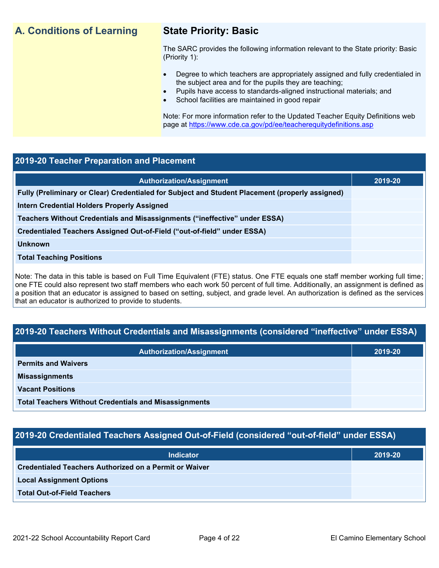# **A. Conditions of Learning State Priority: Basic**

The SARC provides the following information relevant to the State priority: Basic (Priority 1):

- Degree to which teachers are appropriately assigned and fully credentialed in the subject area and for the pupils they are teaching;
	- Pupils have access to standards-aligned instructional materials; and
- School facilities are maintained in good repair

Note: For more information refer to the Updated Teacher Equity Definitions web page at<https://www.cde.ca.gov/pd/ee/teacherequitydefinitions.asp>

### **2019-20 Teacher Preparation and Placement**

| <b>Authorization/Assignment</b>                                                                 | 2019-20 |
|-------------------------------------------------------------------------------------------------|---------|
| Fully (Preliminary or Clear) Credentialed for Subject and Student Placement (properly assigned) |         |
| Intern Credential Holders Properly Assigned                                                     |         |
| Teachers Without Credentials and Misassignments ("ineffective" under ESSA)                      |         |
| Credentialed Teachers Assigned Out-of-Field ("out-of-field" under ESSA)                         |         |
| <b>Unknown</b>                                                                                  |         |
| <b>Total Teaching Positions</b>                                                                 |         |
|                                                                                                 |         |

Note: The data in this table is based on Full Time Equivalent (FTE) status. One FTE equals one staff member working full time; one FTE could also represent two staff members who each work 50 percent of full time. Additionally, an assignment is defined as a position that an educator is assigned to based on setting, subject, and grade level. An authorization is defined as the services that an educator is authorized to provide to students.

# **2019-20 Teachers Without Credentials and Misassignments (considered "ineffective" under ESSA)**

| <b>Authorization/Assignment</b>                              | 2019-20 |
|--------------------------------------------------------------|---------|
| <b>Permits and Waivers</b>                                   |         |
| <b>Misassignments</b>                                        |         |
| <b>Vacant Positions</b>                                      |         |
| <b>Total Teachers Without Credentials and Misassignments</b> |         |

# **2019-20 Credentialed Teachers Assigned Out-of-Field (considered "out-of-field" under ESSA)**

| <b>Indicator</b>                                       | 2019-20 |
|--------------------------------------------------------|---------|
| Credentialed Teachers Authorized on a Permit or Waiver |         |
| <b>Local Assignment Options</b>                        |         |
| <b>Total Out-of-Field Teachers</b>                     |         |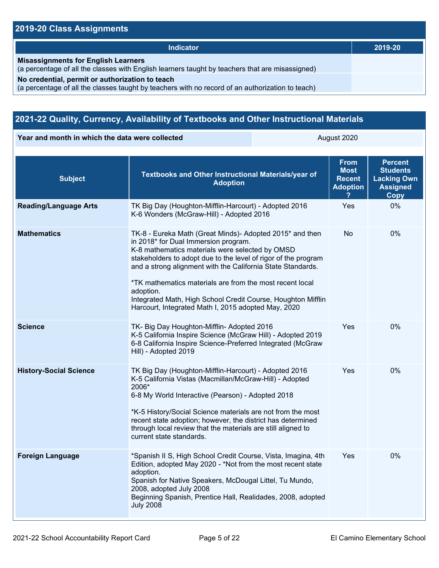# **2019-20 Class Assignments**

| <b>Indicator</b>                                                                                                                                    | 2019-20 |
|-----------------------------------------------------------------------------------------------------------------------------------------------------|---------|
| <b>Misassignments for English Learners</b><br>(a percentage of all the classes with English learners taught by teachers that are misassigned)       |         |
| No credential, permit or authorization to teach<br>(a percentage of all the classes taught by teachers with no record of an authorization to teach) |         |

# **2021-22 Quality, Currency, Availability of Textbooks and Other Instructional Materials**

**Year and month in which the data were collected August 2020** August 2020

| <b>Subject</b>                | Textbooks and Other Instructional Materials/year of<br><b>Adoption</b>                                                                                                                                                                                                                                                                                                                                                                                                               | <b>From</b><br><b>Most</b><br><b>Recent</b><br><b>Adoption</b> | <b>Percent</b><br><b>Students</b><br><b>Lacking Own</b><br><b>Assigned</b><br>Copy |
|-------------------------------|--------------------------------------------------------------------------------------------------------------------------------------------------------------------------------------------------------------------------------------------------------------------------------------------------------------------------------------------------------------------------------------------------------------------------------------------------------------------------------------|----------------------------------------------------------------|------------------------------------------------------------------------------------|
| <b>Reading/Language Arts</b>  | TK Big Day (Houghton-Mifflin-Harcourt) - Adopted 2016<br>K-6 Wonders (McGraw-Hill) - Adopted 2016                                                                                                                                                                                                                                                                                                                                                                                    | Yes                                                            | 0%                                                                                 |
| <b>Mathematics</b>            | TK-8 - Eureka Math (Great Minds)- Adopted 2015* and then<br>in 2018* for Dual Immersion program.<br>K-8 mathematics materials were selected by OMSD<br>stakeholders to adopt due to the level of rigor of the program<br>and a strong alignment with the California State Standards.<br>*TK mathematics materials are from the most recent local<br>adoption.<br>Integrated Math, High School Credit Course, Houghton Mifflin<br>Harcourt, Integrated Math I, 2015 adopted May, 2020 | No                                                             | 0%                                                                                 |
| <b>Science</b>                | TK- Big Day Houghton-Mifflin- Adopted 2016<br>K-5 California Inspire Science (McGraw Hill) - Adopted 2019<br>6-8 California Inspire Science-Preferred Integrated (McGraw<br>Hill) - Adopted 2019                                                                                                                                                                                                                                                                                     | Yes                                                            | 0%                                                                                 |
| <b>History-Social Science</b> | TK Big Day (Houghton-Mifflin-Harcourt) - Adopted 2016<br>K-5 California Vistas (Macmillan/McGraw-Hill) - Adopted<br>2006*<br>6-8 My World Interactive (Pearson) - Adopted 2018<br>*K-5 History/Social Science materials are not from the most<br>recent state adoption; however, the district has determined<br>through local review that the materials are still aligned to<br>current state standards.                                                                             | Yes                                                            | $0\%$                                                                              |
| <b>Foreign Language</b>       | *Spanish II S, High School Credit Course, Vista, Imagina, 4th<br>Edition, adopted May 2020 - *Not from the most recent state<br>adoption.<br>Spanish for Native Speakers, McDougal Littel, Tu Mundo,<br>2008, adopted July 2008<br>Beginning Spanish, Prentice Hall, Realidades, 2008, adopted<br><b>July 2008</b>                                                                                                                                                                   | Yes                                                            | 0%                                                                                 |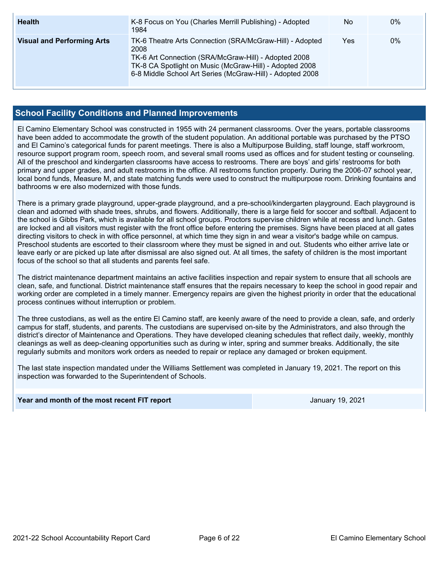| <b>Health</b>                     | K-8 Focus on You (Charles Merrill Publishing) - Adopted<br>1984                                                                                                                                                                                  | No  | $0\%$ |
|-----------------------------------|--------------------------------------------------------------------------------------------------------------------------------------------------------------------------------------------------------------------------------------------------|-----|-------|
| <b>Visual and Performing Arts</b> | TK-6 Theatre Arts Connection (SRA/McGraw-Hill) - Adopted<br>2008<br>TK-6 Art Connection (SRA/McGraw-Hill) - Adopted 2008<br>TK-8 CA Spotlight on Music (McGraw-Hill) - Adopted 2008<br>6-8 Middle School Art Series (McGraw-Hill) - Adopted 2008 | Yes | 0%    |

### **School Facility Conditions and Planned Improvements**

El Camino Elementary School was constructed in 1955 with 24 permanent classrooms. Over the years, portable classrooms have been added to accommodate the growth of the student population. An additional portable was purchased by the PTSO and El Camino's categorical funds for parent meetings. There is also a Multipurpose Building, staff lounge, staff workroom, resource support program room, speech room, and several small rooms used as offices and for student testing or counseling. All of the preschool and kindergarten classrooms have access to restrooms. There are boys' and girls' restrooms for both primary and upper grades, and adult restrooms in the office. All restrooms function properly. During the 2006-07 school year, local bond funds, Measure M, and state matching funds were used to construct the multipurpose room. Drinking fountains and bathrooms w ere also modernized with those funds.

There is a primary grade playground, upper-grade playground, and a pre-school/kindergarten playground. Each playground is clean and adorned with shade trees, shrubs, and flowers. Additionally, there is a large field for soccer and softball. Adjacent to the school is Gibbs Park, which is available for all school groups. Proctors supervise children while at recess and lunch. Gates are locked and all visitors must register with the front office before entering the premises. Signs have been placed at all gates directing visitors to check in with office personnel, at which time they sign in and wear a visitor's badge while on campus. Preschool students are escorted to their classroom where they must be signed in and out. Students who either arrive late or leave early or are picked up late after dismissal are also signed out. At all times, the safety of children is the most important focus of the school so that all students and parents feel safe.

The district maintenance department maintains an active facilities inspection and repair system to ensure that all schools are clean, safe, and functional. District maintenance staff ensures that the repairs necessary to keep the school in good repair and working order are completed in a timely manner. Emergency repairs are given the highest priority in order that the educational process continues without interruption or problem.

The three custodians, as well as the entire El Camino staff, are keenly aware of the need to provide a clean, safe, and orderly campus for staff, students, and parents. The custodians are supervised on-site by the Administrators, and also through the district's director of Maintenance and Operations. They have developed cleaning schedules that reflect daily, weekly, monthly cleanings as well as deep-cleaning opportunities such as during w inter, spring and summer breaks. Additionally, the site regularly submits and monitors work orders as needed to repair or replace any damaged or broken equipment.

The last state inspection mandated under the Williams Settlement was completed in January 19, 2021. The report on this inspection was forwarded to the Superintendent of Schools.

### **Year and month of the most recent FIT report** All and the Muslim Change of Muslim January 19, 2021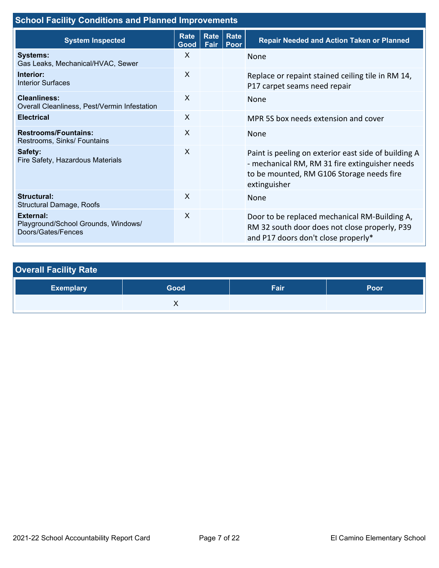| <b>School Facility Conditions and Planned Improvements</b>                    |                           |                                              |  |                                                                                                                                                                     |  |
|-------------------------------------------------------------------------------|---------------------------|----------------------------------------------|--|---------------------------------------------------------------------------------------------------------------------------------------------------------------------|--|
| <b>System Inspected</b>                                                       |                           | Rate<br>Rate<br>Rate<br>Fair<br>Good<br>Poor |  | <b>Repair Needed and Action Taken or Planned</b>                                                                                                                    |  |
| <b>Systems:</b><br>Gas Leaks, Mechanical/HVAC, Sewer                          | X                         |                                              |  | None                                                                                                                                                                |  |
| Interior:<br><b>Interior Surfaces</b>                                         | $\boldsymbol{\mathsf{X}}$ |                                              |  | Replace or repaint stained ceiling tile in RM 14,<br>P17 carpet seams need repair                                                                                   |  |
| Cleanliness:<br>Overall Cleanliness, Pest/Vermin Infestation                  | $\mathsf{X}$              |                                              |  | <b>None</b>                                                                                                                                                         |  |
| <b>Electrical</b>                                                             | X                         |                                              |  | MPR 5S box needs extension and cover                                                                                                                                |  |
| <b>Restrooms/Fountains:</b><br>Restrooms, Sinks/ Fountains                    | X                         |                                              |  | None                                                                                                                                                                |  |
| Safety:<br>Fire Safety, Hazardous Materials                                   | X                         |                                              |  | Paint is peeling on exterior east side of building A<br>- mechanical RM, RM 31 fire extinguisher needs<br>to be mounted, RM G106 Storage needs fire<br>extinguisher |  |
| Structural:<br>Structural Damage, Roofs                                       | $\sf X$                   |                                              |  | None                                                                                                                                                                |  |
| <b>External:</b><br>Playground/School Grounds, Windows/<br>Doors/Gates/Fences | $\sf X$                   |                                              |  | Door to be replaced mechanical RM-Building A,<br>RM 32 south door does not close properly, P39<br>and P17 doors don't close properly*                               |  |

| <b>Overall Facility Rate</b> |      |      |      |  |  |  |
|------------------------------|------|------|------|--|--|--|
| <b>Exemplary</b>             | Good | Fair | Poor |  |  |  |
|                              |      |      |      |  |  |  |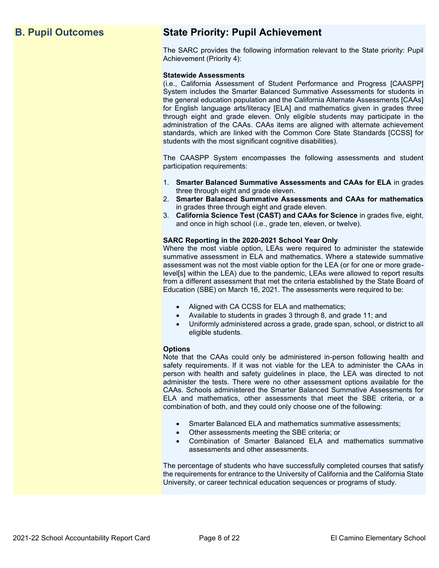# **B. Pupil Outcomes State Priority: Pupil Achievement**

The SARC provides the following information relevant to the State priority: Pupil Achievement (Priority 4):

### **Statewide Assessments**

(i.e., California Assessment of Student Performance and Progress [CAASPP] System includes the Smarter Balanced Summative Assessments for students in the general education population and the California Alternate Assessments [CAAs] for English language arts/literacy [ELA] and mathematics given in grades three through eight and grade eleven. Only eligible students may participate in the administration of the CAAs. CAAs items are aligned with alternate achievement standards, which are linked with the Common Core State Standards [CCSS] for students with the most significant cognitive disabilities).

The CAASPP System encompasses the following assessments and student participation requirements:

- 1. **Smarter Balanced Summative Assessments and CAAs for ELA** in grades three through eight and grade eleven.
- 2. **Smarter Balanced Summative Assessments and CAAs for mathematics** in grades three through eight and grade eleven.
- 3. **California Science Test (CAST) and CAAs for Science** in grades five, eight, and once in high school (i.e., grade ten, eleven, or twelve).

### **SARC Reporting in the 2020-2021 School Year Only**

Where the most viable option, LEAs were required to administer the statewide summative assessment in ELA and mathematics. Where a statewide summative assessment was not the most viable option for the LEA (or for one or more gradelevel[s] within the LEA) due to the pandemic, LEAs were allowed to report results from a different assessment that met the criteria established by the State Board of Education (SBE) on March 16, 2021. The assessments were required to be:

- Aligned with CA CCSS for ELA and mathematics;
- Available to students in grades 3 through 8, and grade 11; and
- Uniformly administered across a grade, grade span, school, or district to all eligible students.

### **Options**

Note that the CAAs could only be administered in-person following health and safety requirements. If it was not viable for the LEA to administer the CAAs in person with health and safety guidelines in place, the LEA was directed to not administer the tests. There were no other assessment options available for the CAAs. Schools administered the Smarter Balanced Summative Assessments for ELA and mathematics, other assessments that meet the SBE criteria, or a combination of both, and they could only choose one of the following:

- Smarter Balanced ELA and mathematics summative assessments;
- Other assessments meeting the SBE criteria; or
- Combination of Smarter Balanced ELA and mathematics summative assessments and other assessments.

The percentage of students who have successfully completed courses that satisfy the requirements for entrance to the University of California and the California State University, or career technical education sequences or programs of study.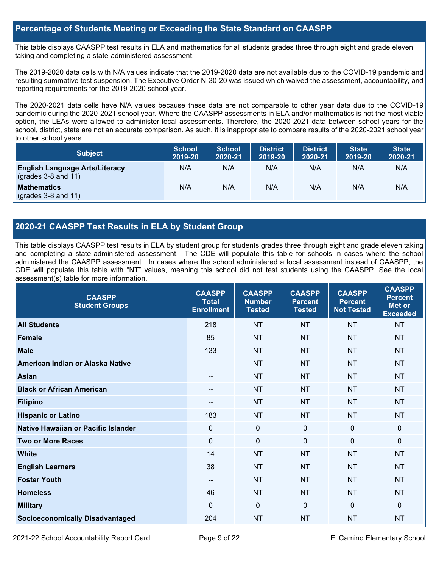### **Percentage of Students Meeting or Exceeding the State Standard on CAASPP**

This table displays CAASPP test results in ELA and mathematics for all students grades three through eight and grade eleven taking and completing a state-administered assessment.

The 2019-2020 data cells with N/A values indicate that the 2019-2020 data are not available due to the COVID-19 pandemic and resulting summative test suspension. The Executive Order N-30-20 was issued which waived the assessment, accountability, and reporting requirements for the 2019-2020 school year.

The 2020-2021 data cells have N/A values because these data are not comparable to other year data due to the COVID-19 pandemic during the 2020-2021 school year. Where the CAASPP assessments in ELA and/or mathematics is not the most viable option, the LEAs were allowed to administer local assessments. Therefore, the 2020-2021 data between school years for the school, district, state are not an accurate comparison. As such, it is inappropriate to compare results of the 2020-2021 school year to other school years.

| <b>Subject</b>                                                       | <b>School</b><br>2019-20 | <b>School</b><br>2020-21 | <b>District</b><br>2019-20 | <b>District</b><br>2020-21 | <b>State</b><br>2019-20 | <b>State</b><br>2020-21 |
|----------------------------------------------------------------------|--------------------------|--------------------------|----------------------------|----------------------------|-------------------------|-------------------------|
| <b>English Language Arts/Literacy</b><br>$\left($ grades 3-8 and 11) | N/A                      | N/A                      | N/A                        | N/A                        | N/A                     | N/A                     |
| <b>Mathematics</b><br>$(grades 3-8 and 11)$                          | N/A                      | N/A                      | N/A                        | N/A                        | N/A                     | N/A                     |

# **2020-21 CAASPP Test Results in ELA by Student Group**

This table displays CAASPP test results in ELA by student group for students grades three through eight and grade eleven taking and completing a state-administered assessment. The CDE will populate this table for schools in cases where the school administered the CAASPP assessment. In cases where the school administered a local assessment instead of CAASPP, the CDE will populate this table with "NT" values, meaning this school did not test students using the CAASPP. See the local assessment(s) table for more information.

| <b>CAASPP</b><br><b>Student Groups</b> | <b>CAASPP</b><br><b>Total</b><br><b>Enrollment</b> | <b>CAASPP</b><br><b>Number</b><br><b>Tested</b> | <b>CAASPP</b><br><b>Percent</b><br><b>Tested</b> | <b>CAASPP</b><br><b>Percent</b><br><b>Not Tested</b> | <b>CAASPP</b><br><b>Percent</b><br>Met or<br><b>Exceeded</b> |
|----------------------------------------|----------------------------------------------------|-------------------------------------------------|--------------------------------------------------|------------------------------------------------------|--------------------------------------------------------------|
| <b>All Students</b>                    | 218                                                | <b>NT</b>                                       | <b>NT</b>                                        | <b>NT</b>                                            | <b>NT</b>                                                    |
| <b>Female</b>                          | 85                                                 | <b>NT</b>                                       | <b>NT</b>                                        | <b>NT</b>                                            | <b>NT</b>                                                    |
| <b>Male</b>                            | 133                                                | <b>NT</b>                                       | <b>NT</b>                                        | <b>NT</b>                                            | <b>NT</b>                                                    |
| American Indian or Alaska Native       | $\qquad \qquad -$                                  | <b>NT</b>                                       | <b>NT</b>                                        | <b>NT</b>                                            | <b>NT</b>                                                    |
| <b>Asian</b>                           | $- -$                                              | <b>NT</b>                                       | <b>NT</b>                                        | <b>NT</b>                                            | <b>NT</b>                                                    |
| <b>Black or African American</b>       |                                                    | <b>NT</b>                                       | <b>NT</b>                                        | <b>NT</b>                                            | <b>NT</b>                                                    |
| <b>Filipino</b>                        | $- -$                                              | <b>NT</b>                                       | <b>NT</b>                                        | <b>NT</b>                                            | <b>NT</b>                                                    |
| <b>Hispanic or Latino</b>              | 183                                                | <b>NT</b>                                       | <b>NT</b>                                        | <b>NT</b>                                            | <b>NT</b>                                                    |
| Native Hawaiian or Pacific Islander    | $\mathbf 0$                                        | $\mathbf 0$                                     | $\mathbf 0$                                      | $\mathbf{0}$                                         | 0                                                            |
| <b>Two or More Races</b>               | $\mathbf 0$                                        | $\overline{0}$                                  | $\mathbf{0}$                                     | $\mathbf 0$                                          | 0                                                            |
| <b>White</b>                           | 14                                                 | <b>NT</b>                                       | <b>NT</b>                                        | <b>NT</b>                                            | <b>NT</b>                                                    |
| <b>English Learners</b>                | 38                                                 | <b>NT</b>                                       | <b>NT</b>                                        | <b>NT</b>                                            | <b>NT</b>                                                    |
| <b>Foster Youth</b>                    | $\qquad \qquad -$                                  | <b>NT</b>                                       | <b>NT</b>                                        | <b>NT</b>                                            | <b>NT</b>                                                    |
| <b>Homeless</b>                        | 46                                                 | <b>NT</b>                                       | <b>NT</b>                                        | <b>NT</b>                                            | <b>NT</b>                                                    |
| <b>Military</b>                        | $\Omega$                                           | $\mathbf 0$                                     | $\Omega$                                         | $\mathbf{0}$                                         | 0                                                            |
| <b>Socioeconomically Disadvantaged</b> | 204                                                | <b>NT</b>                                       | <b>NT</b>                                        | <b>NT</b>                                            | <b>NT</b>                                                    |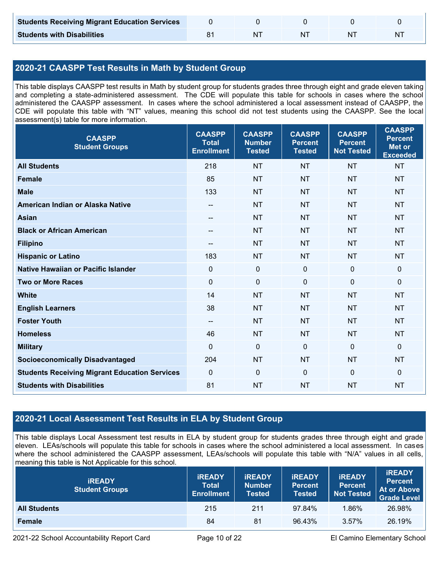| <b>Students Receiving Migrant Education Services</b> |    |    |   |
|------------------------------------------------------|----|----|---|
| <b>Students with Disabilities</b>                    | NΊ | N. | N |

# **2020-21 CAASPP Test Results in Math by Student Group**

This table displays CAASPP test results in Math by student group for students grades three through eight and grade eleven taking and completing a state-administered assessment. The CDE will populate this table for schools in cases where the school administered the CAASPP assessment. In cases where the school administered a local assessment instead of CAASPP, the CDE will populate this table with "NT" values, meaning this school did not test students using the CAASPP. See the local assessment(s) table for more information.

| <b>CAASPP</b><br><b>Student Groups</b>               | <b>CAASPP</b><br><b>Total</b><br><b>Enrollment</b> | <b>CAASPP</b><br><b>Number</b><br><b>Tested</b> | <b>CAASPP</b><br><b>Percent</b><br><b>Tested</b> | <b>CAASPP</b><br><b>Percent</b><br><b>Not Tested</b> | <b>CAASPP</b><br><b>Percent</b><br><b>Met or</b><br><b>Exceeded</b> |
|------------------------------------------------------|----------------------------------------------------|-------------------------------------------------|--------------------------------------------------|------------------------------------------------------|---------------------------------------------------------------------|
| <b>All Students</b>                                  | 218                                                | <b>NT</b>                                       | <b>NT</b>                                        | <b>NT</b>                                            | <b>NT</b>                                                           |
| <b>Female</b>                                        | 85                                                 | <b>NT</b>                                       | <b>NT</b>                                        | <b>NT</b>                                            | <b>NT</b>                                                           |
| <b>Male</b>                                          | 133                                                | <b>NT</b>                                       | <b>NT</b>                                        | <b>NT</b>                                            | <b>NT</b>                                                           |
| American Indian or Alaska Native                     | $\overline{\phantom{a}}$                           | <b>NT</b>                                       | <b>NT</b>                                        | <b>NT</b>                                            | <b>NT</b>                                                           |
| <b>Asian</b>                                         | --                                                 | <b>NT</b>                                       | <b>NT</b>                                        | <b>NT</b>                                            | <b>NT</b>                                                           |
| <b>Black or African American</b>                     | --                                                 | <b>NT</b>                                       | <b>NT</b>                                        | <b>NT</b>                                            | NT                                                                  |
| <b>Filipino</b>                                      | --                                                 | <b>NT</b>                                       | <b>NT</b>                                        | <b>NT</b>                                            | <b>NT</b>                                                           |
| <b>Hispanic or Latino</b>                            | 183                                                | <b>NT</b>                                       | <b>NT</b>                                        | <b>NT</b>                                            | <b>NT</b>                                                           |
| Native Hawaiian or Pacific Islander                  | $\mathbf 0$                                        | $\pmb{0}$                                       | $\mathbf 0$                                      | $\mathbf 0$                                          | 0                                                                   |
| <b>Two or More Races</b>                             | $\mathbf 0$                                        | $\pmb{0}$                                       | $\mathbf 0$                                      | $\mathbf 0$                                          | 0                                                                   |
| <b>White</b>                                         | 14                                                 | <b>NT</b>                                       | <b>NT</b>                                        | <b>NT</b>                                            | <b>NT</b>                                                           |
| <b>English Learners</b>                              | 38                                                 | <b>NT</b>                                       | <b>NT</b>                                        | <b>NT</b>                                            | <b>NT</b>                                                           |
| <b>Foster Youth</b>                                  | $\qquad \qquad -$                                  | <b>NT</b>                                       | <b>NT</b>                                        | <b>NT</b>                                            | <b>NT</b>                                                           |
| <b>Homeless</b>                                      | 46                                                 | <b>NT</b>                                       | <b>NT</b>                                        | <b>NT</b>                                            | <b>NT</b>                                                           |
| <b>Military</b>                                      | $\mathbf{0}$                                       | $\mathbf 0$                                     | $\mathbf 0$                                      | $\Omega$                                             | 0                                                                   |
| <b>Socioeconomically Disadvantaged</b>               | 204                                                | <b>NT</b>                                       | <b>NT</b>                                        | <b>NT</b>                                            | <b>NT</b>                                                           |
| <b>Students Receiving Migrant Education Services</b> | $\mathbf 0$                                        | $\mathbf 0$                                     | $\mathbf 0$                                      | $\mathbf 0$                                          | 0                                                                   |
| <b>Students with Disabilities</b>                    | 81                                                 | <b>NT</b>                                       | <b>NT</b>                                        | <b>NT</b>                                            | <b>NT</b>                                                           |

# **2020-21 Local Assessment Test Results in ELA by Student Group**

This table displays Local Assessment test results in ELA by student group for students grades three through eight and grade eleven. LEAs/schools will populate this table for schools in cases where the school administered a local assessment. In cases where the school administered the CAASPP assessment, LEAs/schools will populate this table with "N/A" values in all cells, meaning this table is Not Applicable for this school.

| <b>IREADY</b><br><b>Student Groups</b> | <b>IREADY</b><br><b>Total</b><br><b>Enrollment</b> | <b>IREADY</b><br><b>Number</b><br><b>Tested</b> | <b><i>IREADY</i></b><br><b>Percent</b><br><b>Tested</b> | <b>IREADY</b><br><b>Percent</b><br><b>Not Tested</b> | <b>IREADY</b><br><b>Percent</b><br><b>At or Above</b><br><b>Grade Level</b> |
|----------------------------------------|----------------------------------------------------|-------------------------------------------------|---------------------------------------------------------|------------------------------------------------------|-----------------------------------------------------------------------------|
| <b>All Students</b>                    | 215                                                | 211                                             | 97.84%                                                  | 1.86%                                                | 26.98%                                                                      |
| Female                                 | 84                                                 | 81                                              | 96.43%                                                  | 3.57%                                                | 26.19%                                                                      |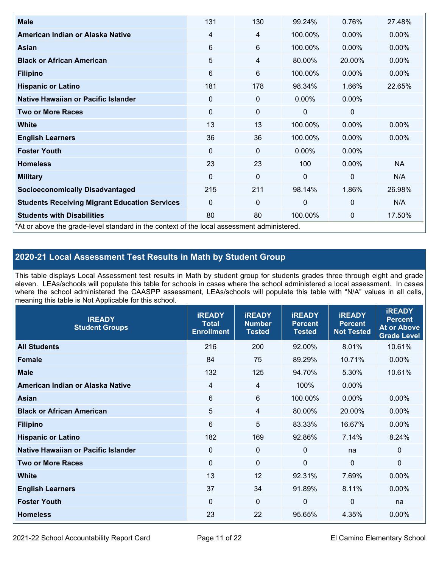| <b>Male</b>                                                                                | 131         | 130 | 99.24%       | 0.76%          | 27.48%    |
|--------------------------------------------------------------------------------------------|-------------|-----|--------------|----------------|-----------|
| American Indian or Alaska Native                                                           | 4           | 4   | 100.00%      | $0.00\%$       | $0.00\%$  |
| <b>Asian</b>                                                                               | 6           | 6   | 100.00%      | $0.00\%$       | 0.00%     |
| <b>Black or African American</b>                                                           | 5           | 4   | 80.00%       | 20.00%         | $0.00\%$  |
| <b>Filipino</b>                                                                            | 6           | 6   | 100.00%      | $0.00\%$       | 0.00%     |
| <b>Hispanic or Latino</b>                                                                  | 181         | 178 | 98.34%       | 1.66%          | 22.65%    |
| Native Hawaiian or Pacific Islander                                                        | $\pmb{0}$   | 0   | $0.00\%$     | 0.00%          |           |
| <b>Two or More Races</b>                                                                   | $\mathbf 0$ | 0   | 0            | 0              |           |
| White                                                                                      | 13          | 13  | 100.00%      | $0.00\%$       | $0.00\%$  |
| <b>English Learners</b>                                                                    | 36          | 36  | 100.00%      | 0.00%          | $0.00\%$  |
| <b>Foster Youth</b>                                                                        | $\Omega$    | 0   | $0.00\%$     | $0.00\%$       |           |
| <b>Homeless</b>                                                                            | 23          | 23  | 100          | 0.00%          | <b>NA</b> |
| <b>Military</b>                                                                            | $\Omega$    | 0   | $\mathbf{0}$ | $\overline{0}$ | N/A       |
| <b>Socioeconomically Disadvantaged</b>                                                     | 215         | 211 | 98.14%       | 1.86%          | 26.98%    |
| <b>Students Receiving Migrant Education Services</b>                                       | 0           | 0   | 0            | $\mathbf{0}$   | N/A       |
| <b>Students with Disabilities</b>                                                          | 80          | 80  | 100.00%      | 0              | 17.50%    |
| *At or above the grade-level standard in the context of the local assessment administered. |             |     |              |                |           |

# **2020-21 Local Assessment Test Results in Math by Student Group**

This table displays Local Assessment test results in Math by student group for students grades three through eight and grade eleven. LEAs/schools will populate this table for schools in cases where the school administered a local assessment. In cases where the school administered the CAASPP assessment, LEAs/schools will populate this table with "N/A" values in all cells, meaning this table is Not Applicable for this school.

| <b>IREADY</b><br><b>Student Groups</b> | <b>IREADY</b><br><b>Total</b><br><b>Enrollment</b> | <b>IREADY</b><br><b>Number</b><br><b>Tested</b> | <b>IREADY</b><br><b>Percent</b><br><b>Tested</b> | <b>IREADY</b><br><b>Percent</b><br><b>Not Tested</b> | <b>IREADY</b><br><b>Percent</b><br><b>At or Above</b><br><b>Grade Level</b> |
|----------------------------------------|----------------------------------------------------|-------------------------------------------------|--------------------------------------------------|------------------------------------------------------|-----------------------------------------------------------------------------|
| <b>All Students</b>                    | 216                                                | 200                                             | 92.00%                                           | 8.01%                                                | 10.61%                                                                      |
| <b>Female</b>                          | 84                                                 | 75                                              | 89.29%                                           | 10.71%                                               | 0.00%                                                                       |
| <b>Male</b>                            | 132                                                | 125                                             | 94.70%                                           | 5.30%                                                | 10.61%                                                                      |
| American Indian or Alaska Native       | $\overline{4}$                                     | 4                                               | 100%                                             | 0.00%                                                |                                                                             |
| Asian                                  | 6                                                  | $6\phantom{1}$                                  | 100.00%                                          | 0.00%                                                | 0.00%                                                                       |
| <b>Black or African American</b>       | 5                                                  | 4                                               | 80.00%                                           | 20.00%                                               | 0.00%                                                                       |
| <b>Filipino</b>                        | 6                                                  | 5                                               | 83.33%                                           | 16.67%                                               | $0.00\%$                                                                    |
| <b>Hispanic or Latino</b>              | 182                                                | 169                                             | 92.86%                                           | 7.14%                                                | 8.24%                                                                       |
| Native Hawaiian or Pacific Islander    | 0                                                  | $\mathbf 0$                                     | $\mathbf{0}$                                     | na                                                   | $\mathbf 0$                                                                 |
| <b>Two or More Races</b>               | $\Omega$                                           | $\mathbf 0$                                     | $\Omega$                                         | $\mathbf 0$                                          | 0                                                                           |
| <b>White</b>                           | 13                                                 | 12                                              | 92.31%                                           | 7.69%                                                | $0.00\%$                                                                    |
| <b>English Learners</b>                | 37                                                 | 34                                              | 91.89%                                           | 8.11%                                                | $0.00\%$                                                                    |
| <b>Foster Youth</b>                    | $\mathbf 0$                                        | $\mathbf 0$                                     | $\mathbf 0$                                      | $\mathbf 0$                                          | na                                                                          |
| <b>Homeless</b>                        | 23                                                 | 22                                              | 95.65%                                           | 4.35%                                                | 0.00%                                                                       |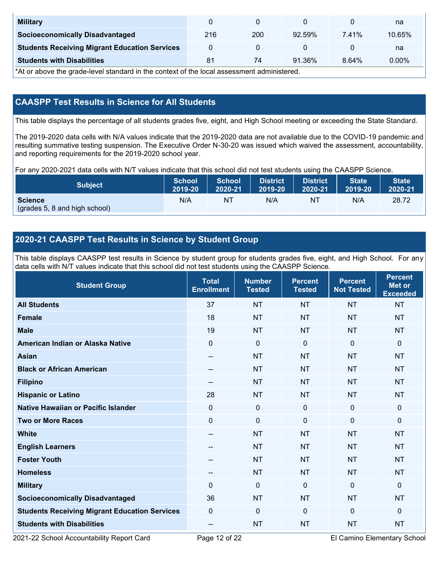| <b>Military</b>                                      |     |     |           |       | na     |
|------------------------------------------------------|-----|-----|-----------|-------|--------|
| <b>Socioeconomically Disadvantaged</b>               | 216 | 200 | 92.59%    | 7.41% | 10.65% |
| <b>Students Receiving Migrant Education Services</b> |     |     |           |       | na     |
| <b>Students with Disabilities</b>                    | 81  | 74  | $91.36\%$ | 8.64% | 0.00%  |

\*At or above the grade-level standard in the context of the local assessment administered.

# **CAASPP Test Results in Science for All Students**

This table displays the percentage of all students grades five, eight, and High School meeting or exceeding the State Standard.

The 2019-2020 data cells with N/A values indicate that the 2019-2020 data are not available due to the COVID-19 pandemic and resulting summative testing suspension. The Executive Order N-30-20 was issued which waived the assessment, accountability, and reporting requirements for the 2019-2020 school year.

For any 2020-2021 data cells with N/T values indicate that this school did not test students using the CAASPP Science.

| <b>Subject</b>                                  | <b>School</b> | <b>School</b> | <b>District</b> | <b>District</b> | <b>State</b> | <b>State</b> |
|-------------------------------------------------|---------------|---------------|-----------------|-----------------|--------------|--------------|
|                                                 | 2019-20       | 2020-21       | 2019-20         | 2020-21         | 2019-20      | 2020-21      |
| <b>Science</b><br>(grades 5, 8 and high school) | N/A           | ΝT            | N/A             | N1              | N/A          | 28.72        |

# **2020-21 CAASPP Test Results in Science by Student Group**

This table displays CAASPP test results in Science by student group for students grades five, eight, and High School. For any data cells with N/T values indicate that this school did not test students using the CAASPP Science.

| <b>Student Group</b>                                 | <b>Total</b><br><b>Enrollment</b> | <b>Number</b><br><b>Tested</b> | <b>Percent</b><br><b>Tested</b> | <b>Percent</b><br><b>Not Tested</b> | <b>Percent</b><br><b>Met or</b><br><b>Exceeded</b> |
|------------------------------------------------------|-----------------------------------|--------------------------------|---------------------------------|-------------------------------------|----------------------------------------------------|
| <b>All Students</b>                                  | 37                                | <b>NT</b>                      | <b>NT</b>                       | <b>NT</b>                           | <b>NT</b>                                          |
| <b>Female</b>                                        | 18                                | <b>NT</b>                      | <b>NT</b>                       | <b>NT</b>                           | <b>NT</b>                                          |
| <b>Male</b>                                          | 19                                | <b>NT</b>                      | <b>NT</b>                       | <b>NT</b>                           | <b>NT</b>                                          |
| American Indian or Alaska Native                     | $\mathbf 0$                       | $\mathbf 0$                    | $\mathbf 0$                     | $\overline{0}$                      | 0                                                  |
| <b>Asian</b>                                         | --                                | <b>NT</b>                      | <b>NT</b>                       | <b>NT</b>                           | <b>NT</b>                                          |
| <b>Black or African American</b>                     | --                                | <b>NT</b>                      | <b>NT</b>                       | <b>NT</b>                           | <b>NT</b>                                          |
| <b>Filipino</b>                                      | $\qquad \qquad -$                 | <b>NT</b>                      | <b>NT</b>                       | <b>NT</b>                           | <b>NT</b>                                          |
| <b>Hispanic or Latino</b>                            | 28                                | <b>NT</b>                      | <b>NT</b>                       | <b>NT</b>                           | <b>NT</b>                                          |
| <b>Native Hawaiian or Pacific Islander</b>           | $\mathbf 0$                       | $\mathbf 0$                    | $\mathbf{0}$                    | $\mathbf 0$                         | 0                                                  |
| <b>Two or More Races</b>                             | $\mathbf 0$                       | $\mathbf 0$                    | $\mathbf 0$                     | $\mathbf 0$                         | $\mathbf{0}$                                       |
| <b>White</b>                                         | $\overline{a}$                    | <b>NT</b>                      | <b>NT</b>                       | <b>NT</b>                           | <b>NT</b>                                          |
| <b>English Learners</b>                              | --                                | <b>NT</b>                      | <b>NT</b>                       | <b>NT</b>                           | <b>NT</b>                                          |
| <b>Foster Youth</b>                                  | --                                | <b>NT</b>                      | <b>NT</b>                       | <b>NT</b>                           | <b>NT</b>                                          |
| <b>Homeless</b>                                      | $\qquad \qquad -$                 | <b>NT</b>                      | <b>NT</b>                       | <b>NT</b>                           | <b>NT</b>                                          |
| <b>Military</b>                                      | $\Omega$                          | $\mathbf 0$                    | $\mathbf{0}$                    | $\mathbf{0}$                        | 0                                                  |
| <b>Socioeconomically Disadvantaged</b>               | 36                                | <b>NT</b>                      | <b>NT</b>                       | <b>NT</b>                           | <b>NT</b>                                          |
| <b>Students Receiving Migrant Education Services</b> | $\Omega$                          | 0                              | $\mathbf 0$                     | $\mathbf 0$                         | $\Omega$                                           |
| <b>Students with Disabilities</b>                    | --                                | <b>NT</b>                      | <b>NT</b>                       | <b>NT</b>                           | <b>NT</b>                                          |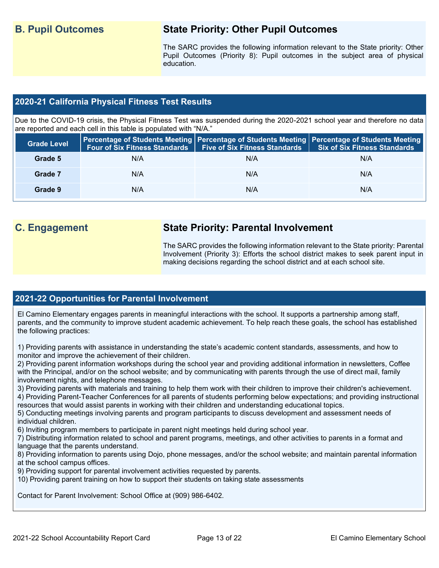# **B. Pupil Outcomes State Priority: Other Pupil Outcomes**

The SARC provides the following information relevant to the State priority: Other Pupil Outcomes (Priority 8): Pupil outcomes in the subject area of physical education.

## **2020-21 California Physical Fitness Test Results**

Due to the COVID-19 crisis, the Physical Fitness Test was suspended during the 2020-2021 school year and therefore no data are reported and each cell in this table is populated with "N/A."

| <b>Grade Level</b> |     | Four of Six Fitness Standards   Five of Six Fitness Standards | <b>Percentage of Students Meeting   Percentage of Students Meeting   Percentage of Students Meeting  </b><br><b>Six of Six Fitness Standards</b> |
|--------------------|-----|---------------------------------------------------------------|--------------------------------------------------------------------------------------------------------------------------------------------------|
| Grade 5            | N/A | N/A                                                           | N/A                                                                                                                                              |
| Grade 7            | N/A | N/A                                                           | N/A                                                                                                                                              |
| Grade 9            | N/A | N/A                                                           | N/A                                                                                                                                              |

# **C. Engagement State Priority: Parental Involvement**

The SARC provides the following information relevant to the State priority: Parental Involvement (Priority 3): Efforts the school district makes to seek parent input in making decisions regarding the school district and at each school site.

# **2021-22 Opportunities for Parental Involvement**

El Camino Elementary engages parents in meaningful interactions with the school. It supports a partnership among staff, parents, and the community to improve student academic achievement. To help reach these goals, the school has established the following practices:

1) Providing parents with assistance in understanding the state's academic content standards, assessments, and how to monitor and improve the achievement of their children.

2) Providing parent information workshops during the school year and providing additional information in newsletters, Coffee with the Principal, and/or on the school website; and by communicating with parents through the use of direct mail, family involvement nights, and telephone messages.

3) Providing parents with materials and training to help them work with their children to improve their children's achievement.

4) Providing Parent-Teacher Conferences for all parents of students performing below expectations; and providing instructional resources that would assist parents in working with their children and understanding educational topics.

5) Conducting meetings involving parents and program participants to discuss development and assessment needs of individual children.

6) Inviting program members to participate in parent night meetings held during school year.

7) Distributing information related to school and parent programs, meetings, and other activities to parents in a format and language that the parents understand.

8) Providing information to parents using Dojo, phone messages, and/or the school website; and maintain parental information at the school campus offices.

- 9) Providing support for parental involvement activities requested by parents.
- 10) Providing parent training on how to support their students on taking state assessments

Contact for Parent Involvement: School Office at (909) 986-6402.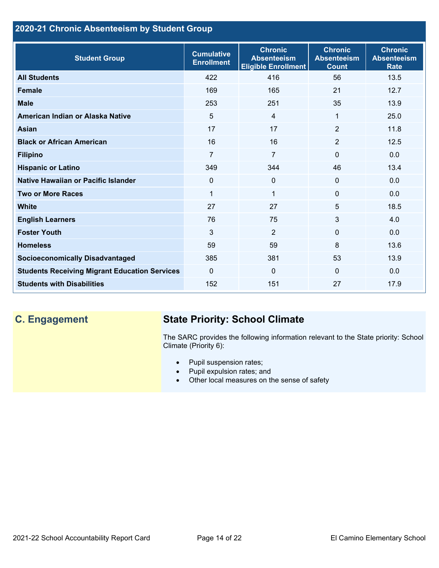# **2020-21 Chronic Absenteeism by Student Group**

| <b>Student Group</b>                                 | <b>Cumulative</b><br><b>Enrollment</b> | <b>Chronic</b><br><b>Absenteeism</b><br><b>Eligible Enrollment</b> | <b>Chronic</b><br><b>Absenteeism</b><br><b>Count</b> | <b>Chronic</b><br><b>Absenteeism</b><br><b>Rate</b> |
|------------------------------------------------------|----------------------------------------|--------------------------------------------------------------------|------------------------------------------------------|-----------------------------------------------------|
| <b>All Students</b>                                  | 422                                    | 416                                                                | 56                                                   | 13.5                                                |
| <b>Female</b>                                        | 169                                    | 165                                                                | 21                                                   | 12.7                                                |
| <b>Male</b>                                          | 253                                    | 251                                                                | 35                                                   | 13.9                                                |
| American Indian or Alaska Native                     | 5                                      | $\overline{4}$                                                     | 1                                                    | 25.0                                                |
| <b>Asian</b>                                         | 17                                     | 17                                                                 | $\overline{2}$                                       | 11.8                                                |
| <b>Black or African American</b>                     | 16                                     | 16                                                                 | $\overline{2}$                                       | 12.5                                                |
| <b>Filipino</b>                                      | $\overline{7}$                         | $\overline{7}$                                                     | $\mathbf{0}$                                         | 0.0                                                 |
| <b>Hispanic or Latino</b>                            | 349                                    | 344                                                                | 46                                                   | 13.4                                                |
| Native Hawaiian or Pacific Islander                  | 0                                      | $\mathbf 0$                                                        | $\mathbf 0$                                          | 0.0                                                 |
| <b>Two or More Races</b>                             | $\mathbf{1}$                           | $\mathbf{1}$                                                       | $\mathbf{0}$                                         | 0.0                                                 |
| <b>White</b>                                         | 27                                     | 27                                                                 | 5                                                    | 18.5                                                |
| <b>English Learners</b>                              | 76                                     | 75                                                                 | 3                                                    | 4.0                                                 |
| <b>Foster Youth</b>                                  | 3                                      | $\overline{2}$                                                     | $\Omega$                                             | 0.0                                                 |
| <b>Homeless</b>                                      | 59                                     | 59                                                                 | 8                                                    | 13.6                                                |
| <b>Socioeconomically Disadvantaged</b>               | 385                                    | 381                                                                | 53                                                   | 13.9                                                |
| <b>Students Receiving Migrant Education Services</b> | $\mathbf{0}$                           | $\mathbf 0$                                                        | $\Omega$                                             | 0.0                                                 |
| <b>Students with Disabilities</b>                    | 152                                    | 151                                                                | 27                                                   | 17.9                                                |

# **C. Engagement State Priority: School Climate**

The SARC provides the following information relevant to the State priority: School Climate (Priority 6):

- Pupil suspension rates;
- Pupil expulsion rates; and
- Other local measures on the sense of safety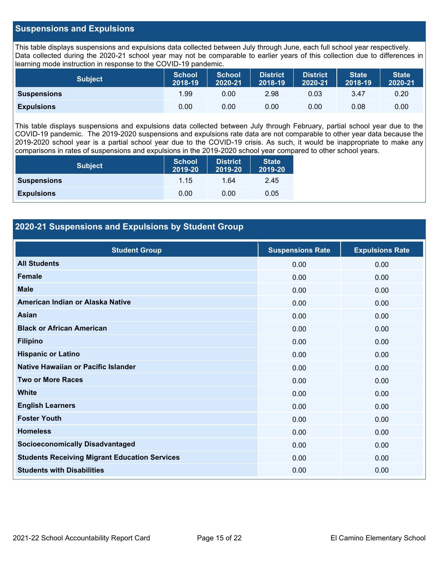### **Suspensions and Expulsions**

This table displays suspensions and expulsions data collected between July through June, each full school year respectively. Data collected during the 2020-21 school year may not be comparable to earlier years of this collection due to differences in learning mode instruction in response to the COVID-19 pandemic.

| <b>Subject</b>     | <b>School</b><br>2018-19 | <b>School</b><br>2020-21 | <b>District</b><br>2018-19 | <b>District</b><br>2020-21 | <b>State</b><br>2018-19 | <b>State</b><br>2020-21 |
|--------------------|--------------------------|--------------------------|----------------------------|----------------------------|-------------------------|-------------------------|
| <b>Suspensions</b> | 1.99                     | 0.00                     | 2.98                       | 0.03                       | 3.47                    | 0.20                    |
| <b>Expulsions</b>  | 0.00                     | 0.00                     | 0.00                       | 0.00                       | 0.08                    | 0.00                    |

This table displays suspensions and expulsions data collected between July through February, partial school year due to the COVID-19 pandemic. The 2019-2020 suspensions and expulsions rate data are not comparable to other year data because the 2019-2020 school year is a partial school year due to the COVID-19 crisis. As such, it would be inappropriate to make any comparisons in rates of suspensions and expulsions in the 2019-2020 school year compared to other school years.

| <b>Subject</b>     | School<br>2019-20 | <b>District</b><br>2019-20 | <b>State</b><br>2019-20 |
|--------------------|-------------------|----------------------------|-------------------------|
| <b>Suspensions</b> | 1.15              | 1.64                       | 2.45                    |
| <b>Expulsions</b>  | 0.00              | 0.00                       | 0.05                    |

## **2020-21 Suspensions and Expulsions by Student Group**

| <b>Student Group</b>                                 | <b>Suspensions Rate</b> | <b>Expulsions Rate</b> |
|------------------------------------------------------|-------------------------|------------------------|
| <b>All Students</b>                                  | 0.00                    | 0.00                   |
| <b>Female</b>                                        | 0.00                    | 0.00                   |
| <b>Male</b>                                          | 0.00                    | 0.00                   |
| American Indian or Alaska Native                     | 0.00                    | 0.00                   |
| Asian                                                | 0.00                    | 0.00                   |
| <b>Black or African American</b>                     | 0.00                    | 0.00                   |
| <b>Filipino</b>                                      | 0.00                    | 0.00                   |
| <b>Hispanic or Latino</b>                            | 0.00                    | 0.00                   |
| Native Hawaiian or Pacific Islander                  | 0.00                    | 0.00                   |
| <b>Two or More Races</b>                             | 0.00                    | 0.00                   |
| <b>White</b>                                         | 0.00                    | 0.00                   |
| <b>English Learners</b>                              | 0.00                    | 0.00                   |
| <b>Foster Youth</b>                                  | 0.00                    | 0.00                   |
| <b>Homeless</b>                                      | 0.00                    | 0.00                   |
| <b>Socioeconomically Disadvantaged</b>               | 0.00                    | 0.00                   |
| <b>Students Receiving Migrant Education Services</b> | 0.00                    | 0.00                   |
| <b>Students with Disabilities</b>                    | 0.00                    | 0.00                   |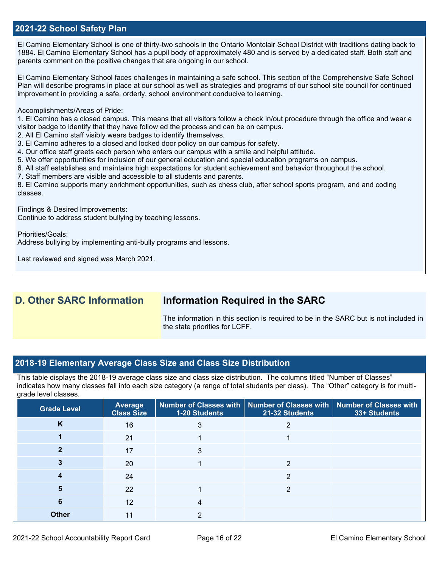### **2021-22 School Safety Plan**

El Camino Elementary School is one of thirty-two schools in the Ontario Montclair School District with traditions dating back to 1884. El Camino Elementary School has a pupil body of approximately 480 and is served by a dedicated staff. Both staff and parents comment on the positive changes that are ongoing in our school.

El Camino Elementary School faces challenges in maintaining a safe school. This section of the Comprehensive Safe School Plan will describe programs in place at our school as well as strategies and programs of our school site council for continued improvement in providing a safe, orderly, school environment conducive to learning.

Accomplishments/Areas of Pride:

1. El Camino has a closed campus. This means that all visitors follow a check in/out procedure through the office and wear a visitor badge to identify that they have follow ed the process and can be on campus.

2. All El Camino staff visibly wears badges to identify themselves.

3. El Camino adheres to a closed and locked door policy on our campus for safety.

- 4. Our office staff greets each person who enters our campus with a smile and helpful attitude.
- 5. We offer opportunities for inclusion of our general education and special education programs on campus.
- 6. All staff establishes and maintains high expectations for student achievement and behavior throughout the school.
- 7. Staff members are visible and accessible to all students and parents.

8. El Camino supports many enrichment opportunities, such as chess club, after school sports program, and and coding classes.

Findings & Desired Improvements:

Continue to address student bullying by teaching lessons.

Priorities/Goals:

Address bullying by implementing anti-bully programs and lessons.

Last reviewed and signed was March 2021.

# **D. Other SARC Information Information Required in the SARC**

The information in this section is required to be in the SARC but is not included in the state priorities for LCFF.

### **2018-19 Elementary Average Class Size and Class Size Distribution**

This table displays the 2018-19 average class size and class size distribution. The columns titled "Number of Classes" indicates how many classes fall into each size category (a range of total students per class). The "Other" category is for multigrade level classes.

| ັ<br><b>Grade Level</b> | <b>Average</b><br><b>Class Size</b> | 1-20 Students | Number of Classes with   Number of Classes with   Number of Classes with<br>21-32 Students | 33+ Students |
|-------------------------|-------------------------------------|---------------|--------------------------------------------------------------------------------------------|--------------|
| K                       | 16                                  | 3             |                                                                                            |              |
|                         | 21                                  |               |                                                                                            |              |
|                         | 17                                  | 3             |                                                                                            |              |
| 3                       | 20                                  |               | っ                                                                                          |              |
|                         | 24                                  |               | $\overline{2}$                                                                             |              |
| 5                       | 22                                  |               | 2                                                                                          |              |
| 6                       | 12                                  | 4             |                                                                                            |              |
| <b>Other</b>            | 11                                  | ◠             |                                                                                            |              |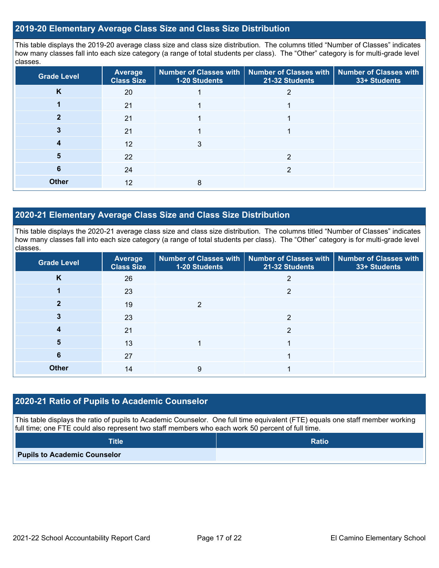### **2019-20 Elementary Average Class Size and Class Size Distribution**

This table displays the 2019-20 average class size and class size distribution. The columns titled "Number of Classes" indicates how many classes fall into each size category (a range of total students per class). The "Other" category is for multi-grade level classes.

| <b>Grade Level</b> | <b>Average</b><br><b>Class Size</b> | <b>Number of Classes with</b><br>1-20 Students | <b>Number of Classes with</b><br>21-32 Students | <b>Number of Classes with</b><br>33+ Students |
|--------------------|-------------------------------------|------------------------------------------------|-------------------------------------------------|-----------------------------------------------|
| K                  | 20                                  |                                                |                                                 |                                               |
|                    | 21                                  |                                                |                                                 |                                               |
|                    | 21                                  |                                                |                                                 |                                               |
| 3                  | 21                                  |                                                |                                                 |                                               |
| 4                  | 12                                  | 3                                              |                                                 |                                               |
| 5                  | 22                                  |                                                | っ                                               |                                               |
| 6                  | 24                                  |                                                | 2                                               |                                               |
| <b>Other</b>       | 12                                  | 8                                              |                                                 |                                               |

### **2020-21 Elementary Average Class Size and Class Size Distribution**

This table displays the 2020-21 average class size and class size distribution. The columns titled "Number of Classes" indicates how many classes fall into each size category (a range of total students per class). The "Other" category is for multi-grade level classes.

| <b>Grade Level</b> | Average<br><b>Class Size</b> | 1-20 Students | Number of Classes with   Number of Classes with   Number of Classes with<br>21-32 Students | 33+ Students |
|--------------------|------------------------------|---------------|--------------------------------------------------------------------------------------------|--------------|
| K                  | 26                           |               | 2                                                                                          |              |
|                    | 23                           |               | $\overline{2}$                                                                             |              |
| 2                  | 19                           | 2             |                                                                                            |              |
| 3                  | 23                           |               | 2                                                                                          |              |
|                    | 21                           |               | っ                                                                                          |              |
| 5                  | 13                           |               |                                                                                            |              |
| 6                  | 27                           |               |                                                                                            |              |
| <b>Other</b>       | 14                           | 9             |                                                                                            |              |

### **2020-21 Ratio of Pupils to Academic Counselor**

This table displays the ratio of pupils to Academic Counselor. One full time equivalent (FTE) equals one staff member working full time; one FTE could also represent two staff members who each work 50 percent of full time.

| <b>Title</b>                        | <b>Ratio</b> |
|-------------------------------------|--------------|
| <b>Pupils to Academic Counselor</b> |              |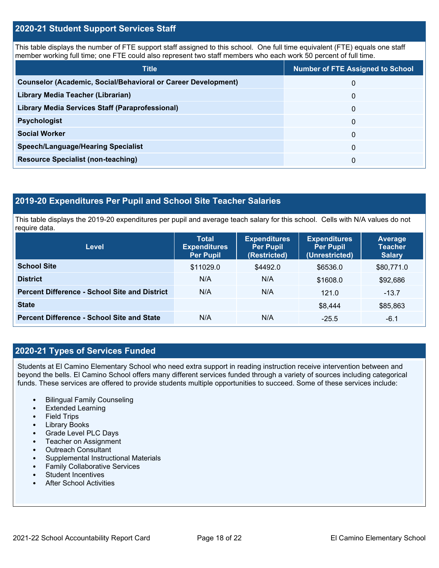### **2020-21 Student Support Services Staff**

This table displays the number of FTE support staff assigned to this school. One full time equivalent (FTE) equals one staff member working full time; one FTE could also represent two staff members who each work 50 percent of full time.

| <b>Title</b>                                                         | <b>Number of FTE Assigned to School</b> |
|----------------------------------------------------------------------|-----------------------------------------|
| <b>Counselor (Academic, Social/Behavioral or Career Development)</b> | 0                                       |
| Library Media Teacher (Librarian)                                    | 0                                       |
| <b>Library Media Services Staff (Paraprofessional)</b>               | 0                                       |
| <b>Psychologist</b>                                                  | 0                                       |
| <b>Social Worker</b>                                                 | $\Omega$                                |
| <b>Speech/Language/Hearing Specialist</b>                            | $\Omega$                                |
| <b>Resource Specialist (non-teaching)</b>                            | 0                                       |

### **2019-20 Expenditures Per Pupil and School Site Teacher Salaries**

This table displays the 2019-20 expenditures per pupil and average teach salary for this school. Cells with N/A values do not require data.

| Level                                                | <b>Total</b><br><b>Expenditures</b><br><b>Per Pupil</b> | <b>Expenditures</b><br><b>Per Pupil</b><br>(Restricted) | <b>Expenditures</b><br><b>Per Pupil</b><br>(Unrestricted) | <b>Average</b><br><b>Teacher</b><br><b>Salary</b> |
|------------------------------------------------------|---------------------------------------------------------|---------------------------------------------------------|-----------------------------------------------------------|---------------------------------------------------|
| <b>School Site</b>                                   | \$11029.0                                               | \$4492.0                                                | \$6536.0                                                  | \$80,771.0                                        |
| <b>District</b>                                      | N/A                                                     | N/A                                                     | \$1608.0                                                  | \$92,686                                          |
| <b>Percent Difference - School Site and District</b> | N/A                                                     | N/A                                                     | 121.0                                                     | $-13.7$                                           |
| <b>State</b>                                         |                                                         |                                                         | \$8,444                                                   | \$85,863                                          |
| <b>Percent Difference - School Site and State</b>    | N/A                                                     | N/A                                                     | $-25.5$                                                   | $-6.1$                                            |

## **2020-21 Types of Services Funded**

Students at El Camino Elementary School who need extra support in reading instruction receive intervention between and beyond the bells. El Camino School offers many different services funded through a variety of sources including categorical funds. These services are offered to provide students multiple opportunities to succeed. Some of these services include:

- Bilingual Family Counseling
- Extended Learning
- **Field Trips**
- Library Books
- Grade Level PLC Days
- Teacher on Assignment
- Outreach Consultant
- Supplemental Instructional Materials
- Family Collaborative Services
- Student Incentives
- After School Activities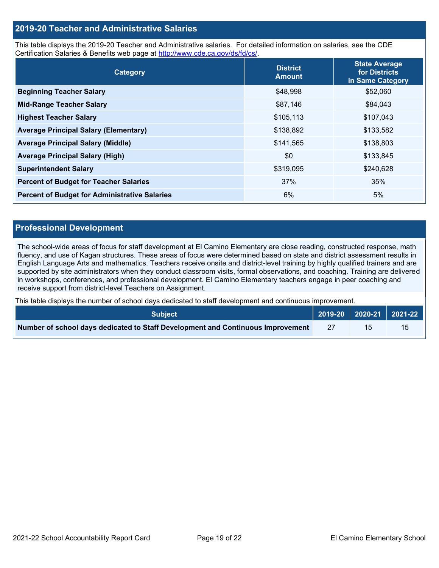### **2019-20 Teacher and Administrative Salaries**

This table displays the 2019-20 Teacher and Administrative salaries. For detailed information on salaries, see the CDE Certification Salaries & Benefits web page at [http://www.cde.ca.gov/ds/fd/cs/.](http://www.cde.ca.gov/ds/fd/cs/)

| Category                                             | <b>District</b><br><b>Amount</b> | <b>State Average</b><br>for Districts<br>in Same Category |
|------------------------------------------------------|----------------------------------|-----------------------------------------------------------|
| <b>Beginning Teacher Salary</b>                      | \$48,998                         | \$52,060                                                  |
| <b>Mid-Range Teacher Salary</b>                      | \$87,146                         | \$84,043                                                  |
| <b>Highest Teacher Salary</b>                        | \$105,113                        | \$107,043                                                 |
| <b>Average Principal Salary (Elementary)</b>         | \$138,892                        | \$133,582                                                 |
| <b>Average Principal Salary (Middle)</b>             | \$141,565                        | \$138,803                                                 |
| <b>Average Principal Salary (High)</b>               | \$0                              | \$133,845                                                 |
| <b>Superintendent Salary</b>                         | \$319,095                        | \$240,628                                                 |
| <b>Percent of Budget for Teacher Salaries</b>        | 37%                              | 35%                                                       |
| <b>Percent of Budget for Administrative Salaries</b> | 6%                               | 5%                                                        |

### **Professional Development**

The school-wide areas of focus for staff development at El Camino Elementary are close reading, constructed response, math fluency, and use of Kagan structures. These areas of focus were determined based on state and district assessment results in English Language Arts and mathematics. Teachers receive onsite and district-level training by highly qualified trainers and are supported by site administrators when they conduct classroom visits, formal observations, and coaching. Training are delivered in workshops, conferences, and professional development. El Camino Elementary teachers engage in peer coaching and receive support from district-level Teachers on Assignment.

This table displays the number of school days dedicated to staff development and continuous improvement.

| <b>Subject</b>                                                                  |  | 2019-20   2020-21   2021-22 |
|---------------------------------------------------------------------------------|--|-----------------------------|
| Number of school days dedicated to Staff Development and Continuous Improvement |  |                             |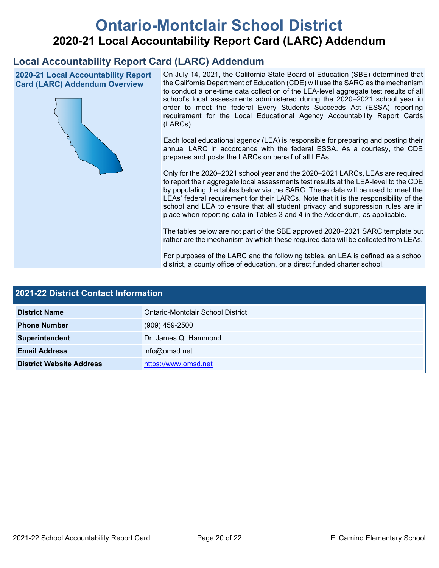# **Ontario-Montclair School District 2020-21 Local Accountability Report Card (LARC) Addendum**

# **Local Accountability Report Card (LARC) Addendum**

**2020-21 Local Accountability Report Card (LARC) Addendum Overview**



On July 14, 2021, the California State Board of Education (SBE) determined that the California Department of Education (CDE) will use the SARC as the mechanism to conduct a one-time data collection of the LEA-level aggregate test results of all school's local assessments administered during the 2020–2021 school year in order to meet the federal Every Students Succeeds Act (ESSA) reporting requirement for the Local Educational Agency Accountability Report Cards (LARCs).

Each local educational agency (LEA) is responsible for preparing and posting their annual LARC in accordance with the federal ESSA. As a courtesy, the CDE prepares and posts the LARCs on behalf of all LEAs.

Only for the 2020–2021 school year and the 2020–2021 LARCs, LEAs are required to report their aggregate local assessments test results at the LEA-level to the CDE by populating the tables below via the SARC. These data will be used to meet the LEAs' federal requirement for their LARCs. Note that it is the responsibility of the school and LEA to ensure that all student privacy and suppression rules are in place when reporting data in Tables 3 and 4 in the Addendum, as applicable.

The tables below are not part of the SBE approved 2020–2021 SARC template but rather are the mechanism by which these required data will be collected from LEAs.

For purposes of the LARC and the following tables, an LEA is defined as a school district, a county office of education, or a direct funded charter school.

| 2021-22 District Contact Information |                                   |  |
|--------------------------------------|-----------------------------------|--|
| <b>District Name</b>                 | Ontario-Montclair School District |  |
| <b>Phone Number</b>                  | $(909)$ 459-2500                  |  |
| Superintendent                       | Dr. James Q. Hammond              |  |
| <b>Email Address</b>                 | info@omsd.net                     |  |
| <b>District Website Address</b>      | https://www.omsd.net              |  |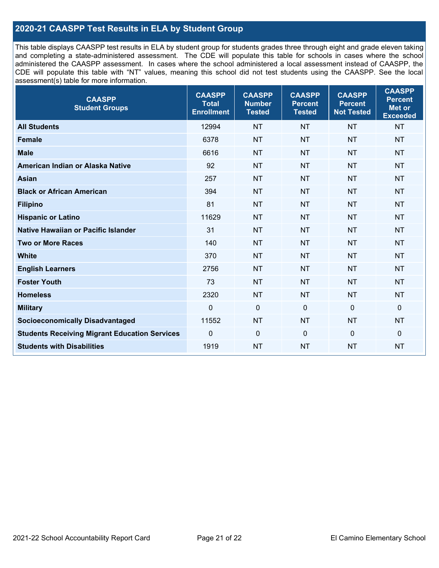# **2020-21 CAASPP Test Results in ELA by Student Group**

This table displays CAASPP test results in ELA by student group for students grades three through eight and grade eleven taking and completing a state-administered assessment. The CDE will populate this table for schools in cases where the school administered the CAASPP assessment. In cases where the school administered a local assessment instead of CAASPP, the CDE will populate this table with "NT" values, meaning this school did not test students using the CAASPP. See the local assessment(s) table for more information.

| <b>CAASPP</b><br><b>Student Groups</b>               | <b>CAASPP</b><br><b>Total</b><br><b>Enrollment</b> | <b>CAASPP</b><br><b>Number</b><br><b>Tested</b> | <b>CAASPP</b><br><b>Percent</b><br><b>Tested</b> | <b>CAASPP</b><br><b>Percent</b><br><b>Not Tested</b> | <b>CAASPP</b><br><b>Percent</b><br>Met or<br><b>Exceeded</b> |
|------------------------------------------------------|----------------------------------------------------|-------------------------------------------------|--------------------------------------------------|------------------------------------------------------|--------------------------------------------------------------|
| <b>All Students</b>                                  | 12994                                              | <b>NT</b>                                       | <b>NT</b>                                        | <b>NT</b>                                            | <b>NT</b>                                                    |
| <b>Female</b>                                        | 6378                                               | <b>NT</b>                                       | <b>NT</b>                                        | <b>NT</b>                                            | <b>NT</b>                                                    |
| <b>Male</b>                                          | 6616                                               | <b>NT</b>                                       | <b>NT</b>                                        | <b>NT</b>                                            | <b>NT</b>                                                    |
| American Indian or Alaska Native                     | 92                                                 | <b>NT</b>                                       | <b>NT</b>                                        | <b>NT</b>                                            | <b>NT</b>                                                    |
| <b>Asian</b>                                         | 257                                                | <b>NT</b>                                       | <b>NT</b>                                        | <b>NT</b>                                            | <b>NT</b>                                                    |
| <b>Black or African American</b>                     | 394                                                | <b>NT</b>                                       | <b>NT</b>                                        | <b>NT</b>                                            | <b>NT</b>                                                    |
| <b>Filipino</b>                                      | 81                                                 | <b>NT</b>                                       | <b>NT</b>                                        | <b>NT</b>                                            | <b>NT</b>                                                    |
| <b>Hispanic or Latino</b>                            | 11629                                              | <b>NT</b>                                       | <b>NT</b>                                        | <b>NT</b>                                            | <b>NT</b>                                                    |
| <b>Native Hawaiian or Pacific Islander</b>           | 31                                                 | <b>NT</b>                                       | <b>NT</b>                                        | <b>NT</b>                                            | <b>NT</b>                                                    |
| <b>Two or More Races</b>                             | 140                                                | <b>NT</b>                                       | <b>NT</b>                                        | <b>NT</b>                                            | <b>NT</b>                                                    |
| <b>White</b>                                         | 370                                                | <b>NT</b>                                       | <b>NT</b>                                        | <b>NT</b>                                            | <b>NT</b>                                                    |
| <b>English Learners</b>                              | 2756                                               | <b>NT</b>                                       | <b>NT</b>                                        | <b>NT</b>                                            | <b>NT</b>                                                    |
| <b>Foster Youth</b>                                  | 73                                                 | <b>NT</b>                                       | <b>NT</b>                                        | <b>NT</b>                                            | <b>NT</b>                                                    |
| <b>Homeless</b>                                      | 2320                                               | <b>NT</b>                                       | <b>NT</b>                                        | <b>NT</b>                                            | <b>NT</b>                                                    |
| <b>Military</b>                                      | $\mathbf 0$                                        | $\mathbf 0$                                     | $\mathbf 0$                                      | $\mathbf 0$                                          | 0                                                            |
| <b>Socioeconomically Disadvantaged</b>               | 11552                                              | <b>NT</b>                                       | <b>NT</b>                                        | <b>NT</b>                                            | <b>NT</b>                                                    |
| <b>Students Receiving Migrant Education Services</b> | 0                                                  | $\mathbf 0$                                     | $\mathbf{0}$                                     | $\mathbf 0$                                          | 0                                                            |
| <b>Students with Disabilities</b>                    | 1919                                               | <b>NT</b>                                       | <b>NT</b>                                        | <b>NT</b>                                            | <b>NT</b>                                                    |